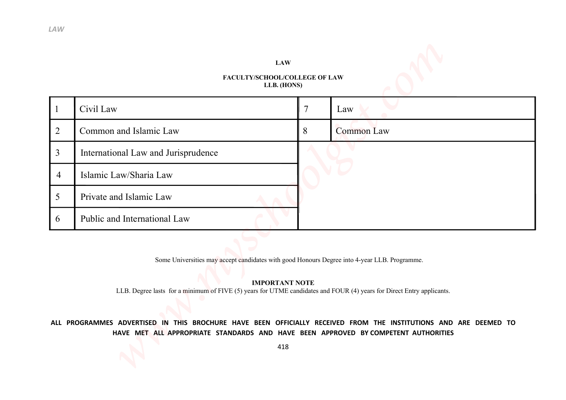## **FACULTY/SCHOOL/COLLEGE OF LAW LLB. (HONS)**

| LAW                   |                                                                                                                                                                                                        |                |                   |
|-----------------------|--------------------------------------------------------------------------------------------------------------------------------------------------------------------------------------------------------|----------------|-------------------|
|                       |                                                                                                                                                                                                        |                |                   |
|                       | <b>LAW</b><br>FACULTY/SCHOOL/COLLEGE OF LAW                                                                                                                                                            |                |                   |
|                       | LLB. (HONS)                                                                                                                                                                                            |                |                   |
| $\mathbf{1}$          | Civil Law                                                                                                                                                                                              | $\overline{7}$ | Law               |
| $\overline{2}$        | Common and Islamic Law                                                                                                                                                                                 | 8              | <b>Common Law</b> |
| $\overline{3}$        | International Law and Jurisprudence                                                                                                                                                                    |                |                   |
| $\overline{4}$        | Islamic Law/Sharia Law                                                                                                                                                                                 |                |                   |
| 5                     | Private and Islamic Law                                                                                                                                                                                |                |                   |
| $\boldsymbol{\sigma}$ | Public and International Law                                                                                                                                                                           |                |                   |
|                       |                                                                                                                                                                                                        |                |                   |
|                       | Some Universities may accept candidates with good Honours Degree into 4-year LLB. Programme.                                                                                                           |                |                   |
|                       | <b>IMPORTANT NOTE</b><br>LLB. Degree lasts for a minimum of FIVE (5) years for UTME candidates and FOUR (4) years for Direct Entry applicants.                                                         |                |                   |
|                       |                                                                                                                                                                                                        |                |                   |
|                       | ALL PROGRAMMES ADVERTISED IN THIS BROCHURE HAVE BEEN OFFICIALLY RECEIVED FROM THE INSTITUTIONS AND ARE DEEMED TO<br>HAVE MET ALL APPROPRIATE STANDARDS AND HAVE BEEN APPROVED BY COMPETENT AUTHORITIES |                |                   |
|                       | 418                                                                                                                                                                                                    |                |                   |
|                       |                                                                                                                                                                                                        |                |                   |

## **ALL PROGRAMMES ADVERTISED IN THIS BROCHURE HAVE BEEN OFFICIALLY RECEIVED FROM THE INSTITUTIONS AND ARE DEEMED TO HAVE MET ALL APPROPRIATE STANDARDS AND HAVE BEEN APPROVED BY COMPETENT AUTHORITIES**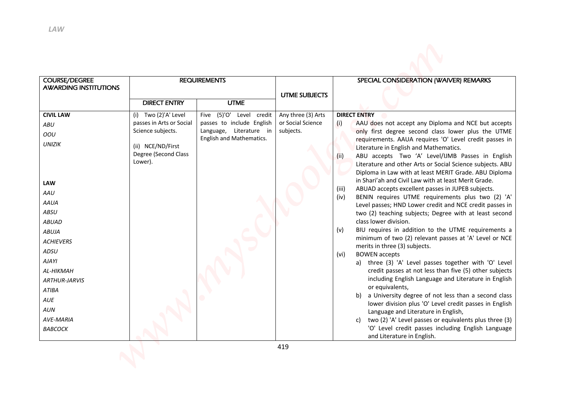| <b>LAW</b>                   |                                                      |                                                     |                      |                                                                                                                                                                                                                          |
|------------------------------|------------------------------------------------------|-----------------------------------------------------|----------------------|--------------------------------------------------------------------------------------------------------------------------------------------------------------------------------------------------------------------------|
|                              |                                                      |                                                     |                      |                                                                                                                                                                                                                          |
| <b>COURSE/DEGREE</b>         |                                                      | <b>REQUIREMENTS</b>                                 |                      | SPECIAL CONSIDERATION (WAIVER) REMARKS                                                                                                                                                                                   |
| <b>AWARDING INSTITUTIONS</b> |                                                      |                                                     |                      |                                                                                                                                                                                                                          |
|                              | <b>DIRECT ENTRY</b>                                  | <b>UTME</b>                                         | <b>UTME SUBJECTS</b> |                                                                                                                                                                                                                          |
| <b>CIVIL LAW</b>             | (i) Two (2)'A' Level                                 | (5)'O'<br>Level credit<br>Five                      | Any three (3) Arts   | <b>DIRECT ENTRY</b>                                                                                                                                                                                                      |
| ABU                          | passes in Arts or Social                             | passes to include English                           | or Social Science    | (i)<br>AAU does not accept any Diploma and NCE but accepts                                                                                                                                                               |
| OOU                          | Science subjects.                                    | Language, Literature in<br>English and Mathematics. | subjects.            | only first degree second class lower plus the UTME<br>requirements. AAUA requires 'O' Level credit passes in                                                                                                             |
| <b>UNIZIK</b>                | (ii) NCE/ND/First<br>Degree (Second Class<br>Lower). |                                                     |                      | Literature in English and Mathematics.<br>(ii)<br>ABU accepts Two 'A' Level/IJMB Passes in English<br>Literature and other Arts or Social Science subjects. ABU<br>Diploma in Law with at least MERIT Grade. ABU Diploma |
| <b>LAW</b>                   |                                                      |                                                     |                      | in Shari'ah and Civil Law with at least Merit Grade.<br>(iii)<br>ABUAD accepts excellent passes in JUPEB subjects.                                                                                                       |
| AAU                          |                                                      |                                                     |                      | BENIN requires UTME requirements plus two (2) 'A'<br>(iv)                                                                                                                                                                |
| <b>AAUA</b>                  |                                                      |                                                     |                      | Level passes; HND Lower credit and NCE credit passes in                                                                                                                                                                  |
| ABSU                         |                                                      |                                                     |                      | two (2) teaching subjects; Degree with at least second<br>class lower division.                                                                                                                                          |
| <b>ABUAD</b><br><b>ABUJA</b> |                                                      |                                                     |                      | (v)<br>BIU requires in addition to the UTME requirements a                                                                                                                                                               |
| <b>ACHIEVERS</b>             |                                                      |                                                     |                      | minimum of two (2) relevant passes at 'A' Level or NCE                                                                                                                                                                   |
| ADSU                         |                                                      |                                                     |                      | merits in three (3) subjects.                                                                                                                                                                                            |
| AJAYI                        |                                                      |                                                     |                      | <b>BOWEN</b> accepts<br>(vi)<br>a) three (3) 'A' Level passes together with 'O' Level                                                                                                                                    |
| AL-HIKMAH                    |                                                      |                                                     |                      | credit passes at not less than five (5) other subjects                                                                                                                                                                   |
| <b>ARTHUR-JARVIS</b>         |                                                      |                                                     |                      | including English Language and Literature in English                                                                                                                                                                     |
| <b>ATIBA</b>                 |                                                      |                                                     |                      | or equivalents,<br>b) a University degree of not less than a second class                                                                                                                                                |
| AUE                          |                                                      |                                                     |                      | lower division plus 'O' Level credit passes in English                                                                                                                                                                   |
| <b>AUN</b><br>AVE-MARIA      |                                                      |                                                     |                      | Language and Literature in English,                                                                                                                                                                                      |
|                              |                                                      |                                                     |                      | c) two (2) 'A' Level passes or equivalents plus three (3)<br>'O' Level credit passes including English Language                                                                                                          |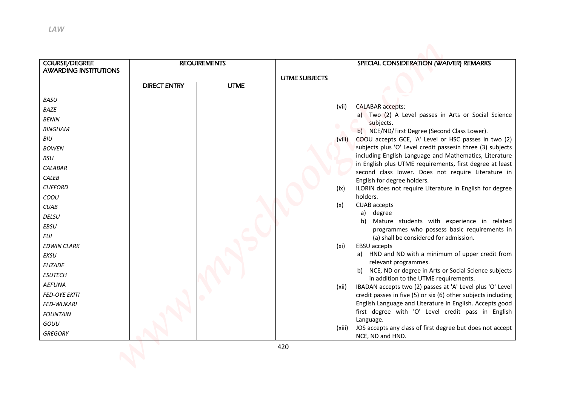| <b>COURSE/DEGREE</b><br><b>AWARDING INSTITUTIONS</b>                                                                                                                                                                                                                                                                                                  |                     | <b>REQUIREMENTS</b> |                      | SPECIAL CONSIDERATION (WAIVER) REMARKS                                                                                                                                                                                                                                                                                                                                                                                                                                                                                                                                                                                                                                                                                                                                                                                                                                                                                                                                                                                                                                                                                                                                                                                                                                                                                               |
|-------------------------------------------------------------------------------------------------------------------------------------------------------------------------------------------------------------------------------------------------------------------------------------------------------------------------------------------------------|---------------------|---------------------|----------------------|--------------------------------------------------------------------------------------------------------------------------------------------------------------------------------------------------------------------------------------------------------------------------------------------------------------------------------------------------------------------------------------------------------------------------------------------------------------------------------------------------------------------------------------------------------------------------------------------------------------------------------------------------------------------------------------------------------------------------------------------------------------------------------------------------------------------------------------------------------------------------------------------------------------------------------------------------------------------------------------------------------------------------------------------------------------------------------------------------------------------------------------------------------------------------------------------------------------------------------------------------------------------------------------------------------------------------------------|
|                                                                                                                                                                                                                                                                                                                                                       |                     |                     | <b>UTME SUBJECTS</b> |                                                                                                                                                                                                                                                                                                                                                                                                                                                                                                                                                                                                                                                                                                                                                                                                                                                                                                                                                                                                                                                                                                                                                                                                                                                                                                                                      |
|                                                                                                                                                                                                                                                                                                                                                       | <b>DIRECT ENTRY</b> | <b>UTME</b>         |                      |                                                                                                                                                                                                                                                                                                                                                                                                                                                                                                                                                                                                                                                                                                                                                                                                                                                                                                                                                                                                                                                                                                                                                                                                                                                                                                                                      |
| BAZE<br><b>BENIN</b><br><b>BINGHAM</b><br>BIU<br><b>BOWEN</b><br><b>BSU</b><br><b>CALABAR</b><br>CALEB<br><b>CLIFFORD</b><br>COOU<br><b>CUAB</b><br>DELSU<br>EBSU<br><b>EUI</b><br><b>EDWIN CLARK</b><br><b>EKSU</b><br>ELIZADE<br><b>ESUTECH</b><br><b>AEFUNA</b><br><b>FED-OYE EKITI</b><br>FED-WUKARI<br><b>FOUNTAIN</b><br>GOUU<br><b>GREGORY</b> |                     |                     |                      | (vii)<br><b>CALABAR</b> accepts;<br>a) Two (2) A Level passes in Arts or Social Science<br>subjects.<br>b) NCE/ND/First Degree (Second Class Lower).<br>COOU accepts GCE, 'A' Level or HSC passes in two (2)<br>(viii)<br>subjects plus 'O' Level credit passesin three (3) subjects<br>including English Language and Mathematics, Literature<br>in English plus UTME requirements, first degree at least<br>second class lower. Does not require Literature in<br>English for degree holders.<br>ILORIN does not require Literature in English for degree<br>(ix)<br>holders.<br>(x)<br><b>CUAB</b> accepts<br>a)<br>degree<br>Mature students with experience in related<br>b)<br>programmes who possess basic requirements in<br>(a) shall be considered for admission.<br>EBSU accepts<br>(xi)<br>HND and ND with a minimum of upper credit from<br>a)<br>relevant programmes.<br>b) NCE, ND or degree in Arts or Social Science subjects<br>in addition to the UTME requirements.<br>IBADAN accepts two (2) passes at 'A' Level plus 'O' Level<br>(xii)<br>credit passes in five (5) or six (6) other subjects including<br>English Language and Literature in English. Accepts good<br>first degree with 'O' Level credit pass in English<br>Language.<br>JOS accepts any class of first degree but does not accept<br>(xiii) |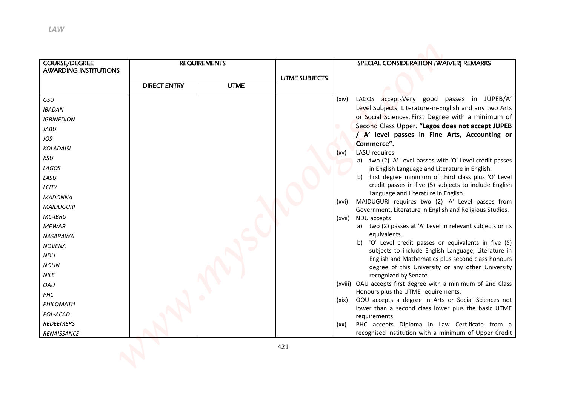| <b>COURSE/DEGREE</b><br><b>AWARDING INSTITUTIONS</b>                                                                                                                                                                                                                                                                |                     | <b>REQUIREMENTS</b> |                      | SPECIAL CONSIDERATION (WAIVER) REMARKS                                                                                                                                                                                                                                                                                                                                                                                                                                                                                                                                                                                                                                                                                                                                                                                                                                                                                                                                                                                                                                                                                                                                                                                                                                                                                                                                                     |
|---------------------------------------------------------------------------------------------------------------------------------------------------------------------------------------------------------------------------------------------------------------------------------------------------------------------|---------------------|---------------------|----------------------|--------------------------------------------------------------------------------------------------------------------------------------------------------------------------------------------------------------------------------------------------------------------------------------------------------------------------------------------------------------------------------------------------------------------------------------------------------------------------------------------------------------------------------------------------------------------------------------------------------------------------------------------------------------------------------------------------------------------------------------------------------------------------------------------------------------------------------------------------------------------------------------------------------------------------------------------------------------------------------------------------------------------------------------------------------------------------------------------------------------------------------------------------------------------------------------------------------------------------------------------------------------------------------------------------------------------------------------------------------------------------------------------|
|                                                                                                                                                                                                                                                                                                                     |                     |                     | <b>UTME SUBJECTS</b> |                                                                                                                                                                                                                                                                                                                                                                                                                                                                                                                                                                                                                                                                                                                                                                                                                                                                                                                                                                                                                                                                                                                                                                                                                                                                                                                                                                                            |
|                                                                                                                                                                                                                                                                                                                     | <b>DIRECT ENTRY</b> | <b>UTME</b>         |                      |                                                                                                                                                                                                                                                                                                                                                                                                                                                                                                                                                                                                                                                                                                                                                                                                                                                                                                                                                                                                                                                                                                                                                                                                                                                                                                                                                                                            |
| <b>IBADAN</b><br><b>IGBINEDION</b><br>JABU<br>JOS<br><b>KOLADAISI</b><br><b>KSU</b><br>LAGOS<br>LASU<br>LCITY<br><b>MADONNA</b><br><b>MAIDUGURI</b><br>MC-IBRU<br><b>MEWAR</b><br>NASARAWA<br><b>NOVENA</b><br>NDU<br><b>NOUN</b><br><b>NILE</b><br>OAU<br>PHC<br>PHILOMATH<br>POL-ACAD<br>REDEEMERS<br>RENAISSANCE |                     |                     |                      | Level Subjects: Literature-in-English and any two Arts<br>or Social Sciences. First Degree with a minimum of<br>Second Class Upper. "Lagos does not accept JUPEB<br>/ A' level passes in Fine Arts, Accounting or<br>Commerce".<br><b>LASU</b> requires<br>(xv)<br>a) two (2) 'A' Level passes with 'O' Level credit passes<br>in English Language and Literature in English.<br>b) first degree minimum of third class plus 'O' Level<br>credit passes in five (5) subjects to include English<br>Language and Literature in English.<br>MAIDUGURI requires two (2) 'A' Level passes from<br>(xvi)<br>Government, Literature in English and Religious Studies.<br>(xvii) NDU accepts<br>two (2) passes at 'A' Level in relevant subjects or its<br>a)<br>equivalents.<br>b) 'O' Level credit passes or equivalents in five (5)<br>subjects to include English Language, Literature in<br>English and Mathematics plus second class honours<br>degree of this University or any other University<br>recognized by Senate.<br>(xviii) OAU accepts first degree with a minimum of 2nd Class<br>Honours plus the UTME requirements.<br>OOU accepts a degree in Arts or Social Sciences not<br>(xix)<br>lower than a second class lower plus the basic UTME<br>requirements.<br>PHC accepts Diploma in Law Certificate from a<br>(xx)<br>recognised institution with a minimum of Upper Credit |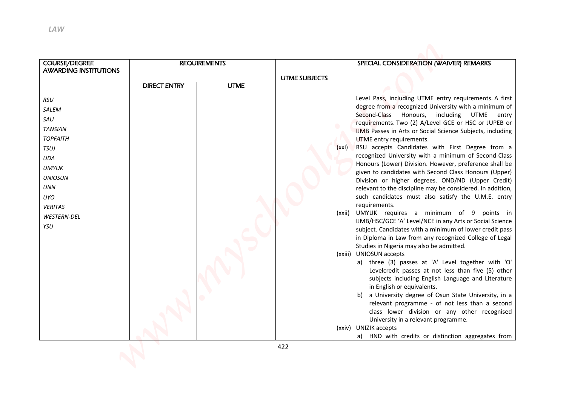| <b>LAW</b>                                                                                                                                                      |                     |                     |                      |                                                                                                                                                                                                                                                                                                                                                                                                                                                                                                                                                                                                                                                                                                                                                                                                                                                                                                                                                                                                                                                                                                                                                                                                                                                                                                                                                                                                                                                                                                                                                              |
|-----------------------------------------------------------------------------------------------------------------------------------------------------------------|---------------------|---------------------|----------------------|--------------------------------------------------------------------------------------------------------------------------------------------------------------------------------------------------------------------------------------------------------------------------------------------------------------------------------------------------------------------------------------------------------------------------------------------------------------------------------------------------------------------------------------------------------------------------------------------------------------------------------------------------------------------------------------------------------------------------------------------------------------------------------------------------------------------------------------------------------------------------------------------------------------------------------------------------------------------------------------------------------------------------------------------------------------------------------------------------------------------------------------------------------------------------------------------------------------------------------------------------------------------------------------------------------------------------------------------------------------------------------------------------------------------------------------------------------------------------------------------------------------------------------------------------------------|
| <b>COURSE/DEGREE</b><br><b>AWARDING INSTITUTIONS</b>                                                                                                            |                     | <b>REQUIREMENTS</b> | <b>UTME SUBJECTS</b> | SPECIAL CONSIDERATION (WAIVER) REMARKS                                                                                                                                                                                                                                                                                                                                                                                                                                                                                                                                                                                                                                                                                                                                                                                                                                                                                                                                                                                                                                                                                                                                                                                                                                                                                                                                                                                                                                                                                                                       |
|                                                                                                                                                                 | <b>DIRECT ENTRY</b> | <b>UTME</b>         |                      |                                                                                                                                                                                                                                                                                                                                                                                                                                                                                                                                                                                                                                                                                                                                                                                                                                                                                                                                                                                                                                                                                                                                                                                                                                                                                                                                                                                                                                                                                                                                                              |
| SALEM<br>SAU<br><b>TANSIAN</b><br><b>TOPFAITH</b><br>TSUJ<br>UDA<br><b>UMYUK</b><br><b>UNIOSUN</b><br><b>UNN</b><br>UYO<br><b>VERITAS</b><br>WESTERN-DEL<br>YSU |                     |                     |                      | Level Pass, including UTME entry requirements. A first<br>degree from a recognized University with a minimum of<br>Honours,<br>Second-Class<br>including UTME<br>entry<br>requirements. Two (2) A/Level GCE or HSC or JUPEB or<br>IJMB Passes in Arts or Social Science Subjects, including<br>UTME entry requirements.<br>RSU accepts Candidates with First Degree from a<br>(xxi)<br>recognized University with a minimum of Second-Class<br>Honours (Lower) Division. However, preference shall be<br>given to candidates with Second Class Honours (Upper)<br>Division or higher degrees. OND/ND (Upper Credit)<br>relevant to the discipline may be considered. In addition,<br>such candidates must also satisfy the U.M.E. entry<br>requirements.<br>UMYUK requires a minimum of 9<br>(xxii)<br>points in<br>IJMB/HSC/GCE 'A' Level/NCE in any Arts or Social Science<br>subject. Candidates with a minimum of lower credit pass<br>in Diploma in Law from any recognized College of Legal<br>Studies in Nigeria may also be admitted.<br>(xxiii) UNIOSUN accepts<br>a) three (3) passes at 'A' Level together with 'O'<br>Levelcredit passes at not less than five (5) other<br>subjects including English Language and Literature<br>in English or equivalents.<br>a University degree of Osun State University, in a<br>b)<br>relevant programme - of not less than a second<br>class lower division or any other recognised<br>University in a relevant programme.<br>(xxiv) UNIZIK accepts<br>a) HND with credits or distinction aggregates from |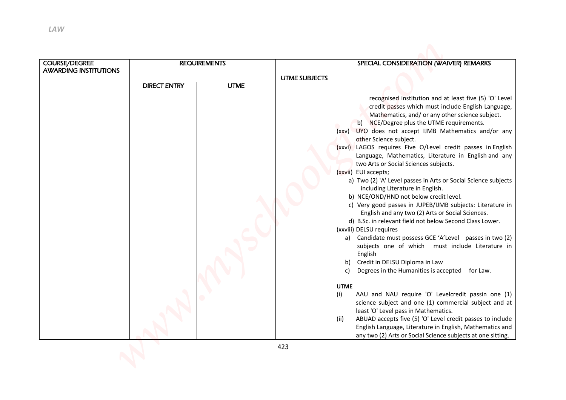| <b>LAW</b>                                    |                     |                     |                      |                                                                                                                                                                                                                                                                                                                                                                                                                                                                                                                                                                                                                                                                                                                                                                                                                                                                                                                                                                                                                                                                                                                                                                                                                                                                                                                                                                                               |
|-----------------------------------------------|---------------------|---------------------|----------------------|-----------------------------------------------------------------------------------------------------------------------------------------------------------------------------------------------------------------------------------------------------------------------------------------------------------------------------------------------------------------------------------------------------------------------------------------------------------------------------------------------------------------------------------------------------------------------------------------------------------------------------------------------------------------------------------------------------------------------------------------------------------------------------------------------------------------------------------------------------------------------------------------------------------------------------------------------------------------------------------------------------------------------------------------------------------------------------------------------------------------------------------------------------------------------------------------------------------------------------------------------------------------------------------------------------------------------------------------------------------------------------------------------|
| COURSE/DEGREE<br><b>AWARDING INSTITUTIONS</b> |                     | <b>REQUIREMENTS</b> |                      | SPECIAL CONSIDERATION (WAIVER) REMARKS                                                                                                                                                                                                                                                                                                                                                                                                                                                                                                                                                                                                                                                                                                                                                                                                                                                                                                                                                                                                                                                                                                                                                                                                                                                                                                                                                        |
|                                               | <b>DIRECT ENTRY</b> | <b>UTME</b>         | <b>UTME SUBJECTS</b> |                                                                                                                                                                                                                                                                                                                                                                                                                                                                                                                                                                                                                                                                                                                                                                                                                                                                                                                                                                                                                                                                                                                                                                                                                                                                                                                                                                                               |
|                                               |                     |                     |                      | credit passes which must include English Language,<br>Mathematics, and/ or any other science subject.<br>b) NCE/Degree plus the UTME requirements.<br>(xxv) UYO does not accept IJMB Mathematics and/or any<br>other Science subject.<br>(xxvi) LAGOS requires Five O/Level credit passes in English<br>Language, Mathematics, Literature in English and any<br>two Arts or Social Sciences subjects.<br>(xxvii) EUI accepts;<br>a) Two (2) 'A' Level passes in Arts or Social Science subjects<br>including Literature in English.<br>b) NCE/OND/HND not below credit level.<br>c) Very good passes in JUPEB/IJMB subjects: Literature in<br>English and any two (2) Arts or Social Sciences.<br>d) B.Sc. in relevant field not below Second Class Lower.<br>(xxviii) DELSU requires<br>a) Candidate must possess GCE 'A'Level passes in two (2)<br>subjects one of which must include Literature in<br>English<br>Credit in DELSU Diploma in Law<br>b)<br>Degrees in the Humanities is accepted for Law.<br>C)<br><b>UTME</b><br>AAU and NAU require 'O' Levelcredit passin one (1)<br>(i)<br>science subject and one (1) commercial subject and at<br>least 'O' Level pass in Mathematics.<br>ABUAD accepts five (5) 'O' Level credit passes to include<br>(ii)<br>English Language, Literature in English, Mathematics and<br>any two (2) Arts or Social Science subjects at one sitting. |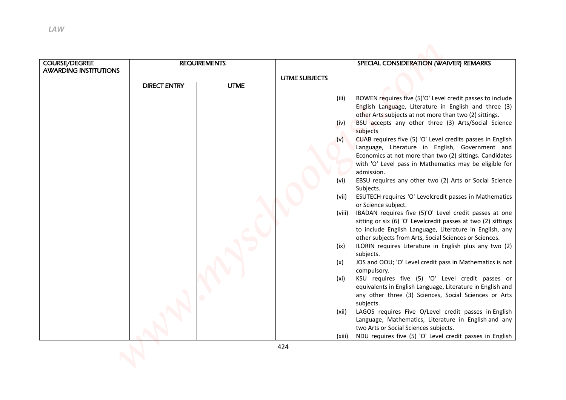| <b>LAW</b><br><b>COURSE/DEGREE</b> |                     | <b>REQUIREMENTS</b> |                      | SPECIAL CONSIDERATION (WAIVER) REMARKS                                                                                                                                                                                                                                                                                                                                                                                                                                                                                                                                                                                                                                                                                                                                                                                                                                                                                                                                                                                                                                                                                                                                                                                                                                                                                                                                                                                                                                                            |
|------------------------------------|---------------------|---------------------|----------------------|---------------------------------------------------------------------------------------------------------------------------------------------------------------------------------------------------------------------------------------------------------------------------------------------------------------------------------------------------------------------------------------------------------------------------------------------------------------------------------------------------------------------------------------------------------------------------------------------------------------------------------------------------------------------------------------------------------------------------------------------------------------------------------------------------------------------------------------------------------------------------------------------------------------------------------------------------------------------------------------------------------------------------------------------------------------------------------------------------------------------------------------------------------------------------------------------------------------------------------------------------------------------------------------------------------------------------------------------------------------------------------------------------------------------------------------------------------------------------------------------------|
| <b>AWARDING INSTITUTIONS</b>       |                     |                     | <b>UTME SUBJECTS</b> |                                                                                                                                                                                                                                                                                                                                                                                                                                                                                                                                                                                                                                                                                                                                                                                                                                                                                                                                                                                                                                                                                                                                                                                                                                                                                                                                                                                                                                                                                                   |
|                                    | <b>DIRECT ENTRY</b> | <b>UTME</b>         |                      |                                                                                                                                                                                                                                                                                                                                                                                                                                                                                                                                                                                                                                                                                                                                                                                                                                                                                                                                                                                                                                                                                                                                                                                                                                                                                                                                                                                                                                                                                                   |
|                                    |                     |                     |                      | English Language, Literature in English and three (3)<br>other Arts subjects at not more than two (2) sittings.<br>BSU accepts any other three (3) Arts/Social Science<br>(iv)<br>subjects<br>CUAB requires five (5) 'O' Level credits passes in English<br>(v)<br>Language, Literature in English, Government and<br>Economics at not more than two (2) sittings. Candidates<br>with 'O' Level pass in Mathematics may be eligible for<br>admission.<br>EBSU requires any other two (2) Arts or Social Science<br>(vi)<br>Subjects.<br>ESUTECH requires 'O' Levelcredit passes in Mathematics<br>(vii)<br>or Science subject.<br>(viii)<br>IBADAN requires five (5)'O' Level credit passes at one<br>sitting or six (6) 'O' Levelcredit passes at two (2) sittings<br>to include English Language, Literature in English, any<br>other subjects from Arts, Social Sciences or Sciences.<br>ILORIN requires Literature in English plus any two (2)<br>(ix)<br>subjects.<br>JOS and OOU; 'O' Level credit pass in Mathematics is not<br>(x)<br>compulsory.<br>KSU requires five (5) 'O' Level credit passes or<br>(xi)<br>equivalents in English Language, Literature in English and<br>any other three (3) Sciences, Social Sciences or Arts<br>subjects.<br>LAGOS requires Five O/Level credit passes in English<br>(xii)<br>Language, Mathematics, Literature in English and any<br>two Arts or Social Sciences subjects.<br>NDU requires five (5) 'O' Level credit passes in English<br>(xiii) |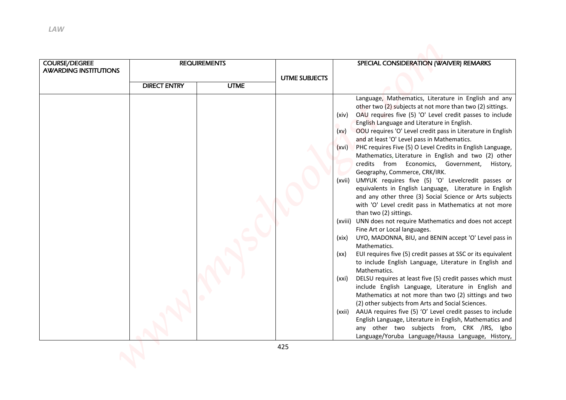| <b>COURSE/DEGREE</b><br><b>AWARDING INSTITUTIONS</b> |                     | <b>REQUIREMENTS</b> |                      | SPECIAL CONSIDERATION (WAIVER) REMARKS                                                                                                                                                                                                                                                                                                                                                                                                                                                                                                                                                                                                                                                                                                                                                                                                                                                                                                                                                                                                                                                                                                                                                                                                                                                                                                                                                                                                                                                                                                                 |
|------------------------------------------------------|---------------------|---------------------|----------------------|--------------------------------------------------------------------------------------------------------------------------------------------------------------------------------------------------------------------------------------------------------------------------------------------------------------------------------------------------------------------------------------------------------------------------------------------------------------------------------------------------------------------------------------------------------------------------------------------------------------------------------------------------------------------------------------------------------------------------------------------------------------------------------------------------------------------------------------------------------------------------------------------------------------------------------------------------------------------------------------------------------------------------------------------------------------------------------------------------------------------------------------------------------------------------------------------------------------------------------------------------------------------------------------------------------------------------------------------------------------------------------------------------------------------------------------------------------------------------------------------------------------------------------------------------------|
|                                                      | <b>DIRECT ENTRY</b> | <b>UTME</b>         | <b>UTME SUBJECTS</b> |                                                                                                                                                                                                                                                                                                                                                                                                                                                                                                                                                                                                                                                                                                                                                                                                                                                                                                                                                                                                                                                                                                                                                                                                                                                                                                                                                                                                                                                                                                                                                        |
|                                                      |                     |                     |                      | OAU requires five (5) 'O' Level credit passes to include<br>(xiv)<br>English Language and Literature in English.<br>OOU requires 'O' Level credit pass in Literature in English<br>(xv)<br>and at least 'O' Level pass in Mathematics.<br>PHC requires Five (5) O Level Credits in English Language,<br>(xvi)<br>Mathematics, Literature in English and two (2) other<br>credits from Economics, Government,<br>History,<br>Geography, Commerce, CRK/IRK.<br>UMYUK requires five (5) 'O' Levelcredit passes or<br>(xvii)<br>equivalents in English Language, Literature in English<br>and any other three (3) Social Science or Arts subjects<br>with 'O' Level credit pass in Mathematics at not more<br>than two (2) sittings.<br>(xviii) UNN does not require Mathematics and does not accept<br>Fine Art or Local languages.<br>UYO, MADONNA, BIU, and BENIN accept 'O' Level pass in<br>(xix)<br>Mathematics.<br>EUI requires five (5) credit passes at SSC or its equivalent<br>(xx)<br>to include English Language, Literature in English and<br>Mathematics.<br>DELSU requires at least five (5) credit passes which must<br>(xxi)<br>include English Language, Literature in English and<br>Mathematics at not more than two (2) sittings and two<br>(2) other subjects from Arts and Social Sciences.<br>AAUA requires five (5) 'O' Level credit passes to include<br>(xxii)<br>English Language, Literature in English, Mathematics and<br>any other two subjects from, CRK /IRS, Igbo<br>Language/Yoruba Language/Hausa Language, History, |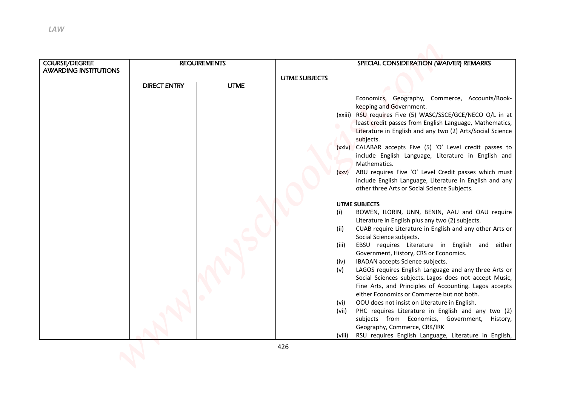| <b>COURSE/DEGREE</b>         |                     | <b>REQUIREMENTS</b> |                      | SPECIAL CONSIDERATION (WAIVER) REMARKS                                                                                                                                                                                                                                                                                                                                                                                                                                                                                                                                                                                                                                                                                                                                                                                                                                                                                                                                                                                                                                                                                                      |
|------------------------------|---------------------|---------------------|----------------------|---------------------------------------------------------------------------------------------------------------------------------------------------------------------------------------------------------------------------------------------------------------------------------------------------------------------------------------------------------------------------------------------------------------------------------------------------------------------------------------------------------------------------------------------------------------------------------------------------------------------------------------------------------------------------------------------------------------------------------------------------------------------------------------------------------------------------------------------------------------------------------------------------------------------------------------------------------------------------------------------------------------------------------------------------------------------------------------------------------------------------------------------|
| <b>AWARDING INSTITUTIONS</b> | <b>DIRECT ENTRY</b> | <b>UTME</b>         | <b>UTME SUBJECTS</b> |                                                                                                                                                                                                                                                                                                                                                                                                                                                                                                                                                                                                                                                                                                                                                                                                                                                                                                                                                                                                                                                                                                                                             |
|                              |                     |                     |                      | RSU requires Five (5) WASC/SSCE/GCE/NECO O/L in at<br>(xxiii)<br>least credit passes from English Language, Mathematics,<br>Literature in English and any two (2) Arts/Social Science<br>subjects.<br>(xxiv) CALABAR accepts Five (5) 'O' Level credit passes to<br>include English Language, Literature in English and<br>Mathematics.<br>ABU requires Five 'O' Level Credit passes which must<br>(xxv)<br>include English Language, Literature in English and any<br>other three Arts or Social Science Subjects.<br><b>UTME SUBJECTS</b><br>(i)<br>BOWEN, ILORIN, UNN, BENIN, AAU and OAU require<br>Literature in English plus any two (2) subjects.<br>CUAB require Literature in English and any other Arts or<br>(ii)<br>Social Science subjects.<br>EBSU requires Literature in English and either<br>(iii)<br>Government, History, CRS or Economics.<br>IBADAN accepts Science subjects.<br>(iv)<br>(v)<br>LAGOS requires English Language and any three Arts or<br>Social Sciences subjects. Lagos does not accept Music,<br>Fine Arts, and Principles of Accounting. Lagos accepts<br>either Economics or Commerce but not both. |
|                              |                     |                     |                      | OOU does not insist on Literature in English.<br>(vi)<br>PHC requires Literature in English and any two (2)<br>(vii)<br>subjects from Economics, Government, History,<br>Geography, Commerce, CRK/IRK<br>RSU requires English Language, Literature in English,<br>(viii)                                                                                                                                                                                                                                                                                                                                                                                                                                                                                                                                                                                                                                                                                                                                                                                                                                                                    |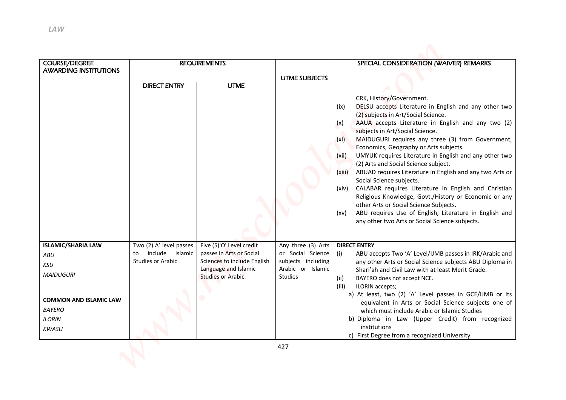| LAW                                                                                                                                            |                                                                              |                                                                                                                                   |                                                                                               |                                                                                                                                                                                                                                                                                                                                                                                                                                                                                                                                                                                                                                                                                                                                                              |
|------------------------------------------------------------------------------------------------------------------------------------------------|------------------------------------------------------------------------------|-----------------------------------------------------------------------------------------------------------------------------------|-----------------------------------------------------------------------------------------------|--------------------------------------------------------------------------------------------------------------------------------------------------------------------------------------------------------------------------------------------------------------------------------------------------------------------------------------------------------------------------------------------------------------------------------------------------------------------------------------------------------------------------------------------------------------------------------------------------------------------------------------------------------------------------------------------------------------------------------------------------------------|
| <b>COURSE/DEGREE</b>                                                                                                                           |                                                                              | <b>REQUIREMENTS</b>                                                                                                               |                                                                                               | SPECIAL CONSIDERATION (WAIVER) REMARKS                                                                                                                                                                                                                                                                                                                                                                                                                                                                                                                                                                                                                                                                                                                       |
| <b>AWARDING INSTITUTIONS</b>                                                                                                                   |                                                                              |                                                                                                                                   |                                                                                               |                                                                                                                                                                                                                                                                                                                                                                                                                                                                                                                                                                                                                                                                                                                                                              |
|                                                                                                                                                | <b>DIRECT ENTRY</b>                                                          | <b>UTME</b>                                                                                                                       | <b>UTME SUBJECTS</b>                                                                          |                                                                                                                                                                                                                                                                                                                                                                                                                                                                                                                                                                                                                                                                                                                                                              |
|                                                                                                                                                |                                                                              |                                                                                                                                   |                                                                                               | (2) subjects in Art/Social Science.<br>AAUA accepts Literature in English and any two (2)<br>(x)<br>subjects in Art/Social Science.<br>MAIDUGURI requires any three (3) from Government,<br>(x <sub>i</sub> )<br>Economics, Geography or Arts subjects.<br>(xii)<br>UMYUK requires Literature in English and any other two<br>(2) Arts and Social Science subject.<br>ABUAD requires Literature in English and any two Arts or<br>(xiii)<br>Social Science subjects.<br>CALABAR requires Literature in English and Christian<br>(xiv)<br>Religious Knowledge, Govt./History or Economic or any<br>other Arts or Social Science Subjects.<br>ABU requires Use of English, Literature in English and<br>(xv)<br>any other two Arts or Social Science subjects. |
| <b>ISLAMIC/SHARIA LAW</b><br><b>ABU</b><br>KSU<br><b>MAIDUGURI</b><br><b>COMMON AND ISLAMIC LAW</b><br><b>BAYERO</b><br><b>ILORIN</b><br>KWASU | Two (2) A' level passes<br>include Islamic<br>to<br><b>Studies or Arabic</b> | Five (5)'O' Level credit<br>passes in Arts or Social<br>Sciences to include English<br>Language and Islamic<br>Studies or Arabic. | Any three (3) Arts<br>or Social Science<br>subjects including<br>Arabic or Islamic<br>Studies | <b>DIRECT ENTRY</b><br>(i)<br>ABU accepts Two 'A' Level/IJMB passes in IRK/Arabic and<br>any other Arts or Social Science subjects ABU Diploma in<br>Shari'ah and Civil Law with at least Merit Grade.<br>(ii)<br>BAYERO does not accept NCE.<br>(iii)<br>ILORIN accepts;<br>a) At least, two (2) 'A' Level passes in GCE/IJMB or its<br>equivalent in Arts or Social Science subjects one of<br>which must include Arabic or Islamic Studies<br>b) Diploma in Law (Upper Credit) from recognized<br>institutions<br>c) First Degree from a recognized University                                                                                                                                                                                            |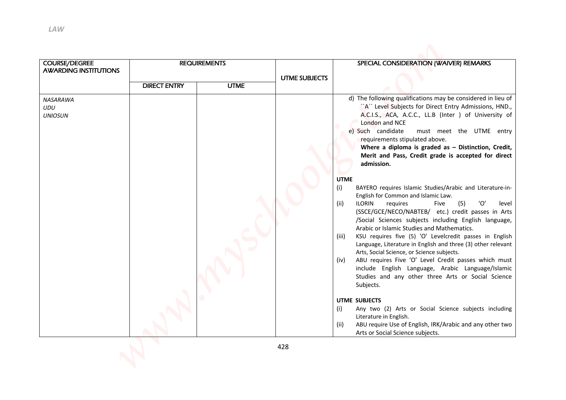| <b>COURSE/DEGREE</b><br><b>AWARDING INSTITUTIONS</b> |                     | <b>REQUIREMENTS</b> |                      | SPECIAL CONSIDERATION (WAIVER) REMARKS                                                                                                                                                                                                                                                                                                                                                                                                                                                                                                                                                                                                                                                                                                                                                                                                                                                                                                                                                                                                                                                                                                                                                                                                                                                                           |
|------------------------------------------------------|---------------------|---------------------|----------------------|------------------------------------------------------------------------------------------------------------------------------------------------------------------------------------------------------------------------------------------------------------------------------------------------------------------------------------------------------------------------------------------------------------------------------------------------------------------------------------------------------------------------------------------------------------------------------------------------------------------------------------------------------------------------------------------------------------------------------------------------------------------------------------------------------------------------------------------------------------------------------------------------------------------------------------------------------------------------------------------------------------------------------------------------------------------------------------------------------------------------------------------------------------------------------------------------------------------------------------------------------------------------------------------------------------------|
|                                                      | <b>DIRECT ENTRY</b> | <b>UTME</b>         | <b>UTME SUBJECTS</b> |                                                                                                                                                                                                                                                                                                                                                                                                                                                                                                                                                                                                                                                                                                                                                                                                                                                                                                                                                                                                                                                                                                                                                                                                                                                                                                                  |
| UDU<br><b>UNIOSUN</b>                                |                     |                     |                      | "A" Level Subjects for Direct Entry Admissions, HND.,<br>A.C.I.S., ACA, A.C.C., LL.B (Inter ) of University of<br>London and NCE<br>e) Such candidate<br>must meet the UTME entry<br>requirements stipulated above.<br>Where a diploma is graded as $-$ Distinction, Credit,<br>Merit and Pass, Credit grade is accepted for direct<br>admission.<br><b>UTME</b><br>(i)<br>BAYERO requires Islamic Studies/Arabic and Literature-in-<br>English for Common and Islamic Law.<br>(ii)<br><b>ILORIN</b><br>(5)<br>'O'<br>requires<br>level<br>Five<br>(SSCE/GCE/NECO/NABTEB/ etc.) credit passes in Arts<br>/Social Sciences subjects including English language,<br>Arabic or Islamic Studies and Mathematics.<br>KSU requires five (5) 'O' Levelcredit passes in English<br>(iii)<br>Language, Literature in English and three (3) other relevant<br>Arts, Social Science, or Science subjects.<br>ABU requires Five 'O' Level Credit passes which must<br>(iv)<br>include English Language, Arabic Language/Islamic<br>Studies and any other three Arts or Social Science<br>Subjects.<br><b>UTME SUBJECTS</b><br>(i)<br>Any two (2) Arts or Social Science subjects including<br>Literature in English.<br>ABU require Use of English, IRK/Arabic and any other two<br>(ii)<br>Arts or Social Science subjects. |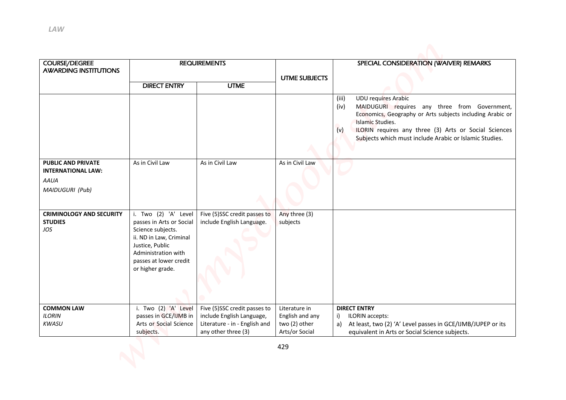| <b>LAW</b>                                                                        |                                                                                                                                                                                          |                                                                                                                   |                                                                     |                                                                                                                                                                                                                                                                                                                |
|-----------------------------------------------------------------------------------|------------------------------------------------------------------------------------------------------------------------------------------------------------------------------------------|-------------------------------------------------------------------------------------------------------------------|---------------------------------------------------------------------|----------------------------------------------------------------------------------------------------------------------------------------------------------------------------------------------------------------------------------------------------------------------------------------------------------------|
| <b>COURSE/DEGREE</b><br><b>AWARDING INSTITUTIONS</b>                              |                                                                                                                                                                                          | <b>REQUIREMENTS</b>                                                                                               |                                                                     | SPECIAL CONSIDERATION (WAIVER) REMARKS                                                                                                                                                                                                                                                                         |
|                                                                                   | <b>DIRECT ENTRY</b>                                                                                                                                                                      | <b>UTME</b>                                                                                                       | <b>UTME SUBJECTS</b>                                                |                                                                                                                                                                                                                                                                                                                |
|                                                                                   |                                                                                                                                                                                          |                                                                                                                   |                                                                     | <b>UDU requires Arabic</b><br>(iii)<br>MAIDUGURI requires any three from Government,<br>(iv)<br>Economics, Geography or Arts subjects including Arabic or<br><b>Islamic Studies.</b><br>(v)<br>ILORIN requires any three (3) Arts or Social Sciences<br>Subjects which must include Arabic or Islamic Studies. |
| <b>PUBLIC AND PRIVATE</b><br><b>INTERNATIONAL LAW:</b><br>AAUA<br>MAIDUGURI (Pub) | As in Civil Law                                                                                                                                                                          | As in Civil Law                                                                                                   | As in Civil Law                                                     |                                                                                                                                                                                                                                                                                                                |
| <b>CRIMINOLOGY AND SECURITY</b><br><b>STUDIES</b><br>JOS                          | Two (2) 'A'<br>Level<br>passes in Arts or Social<br>Science subjects.<br>ii. ND in Law, Criminal<br>Justice, Public<br>Administration with<br>passes at lower credit<br>or higher grade. | Five (5)SSC credit passes to<br>include English Language.                                                         | Any three (3)<br>subjects                                           |                                                                                                                                                                                                                                                                                                                |
| <b>COMMON LAW</b><br><b>ILORIN</b><br>KWASU                                       | i. Two (2) 'A' Level<br>passes in GCE/IJMB in<br>Arts or Social Science<br>subjects.                                                                                                     | Five (5)SSC credit passes to<br>include English Language,<br>Literature - in - English and<br>any other three (3) | Literature in<br>English and any<br>two (2) other<br>Arts/or Social | <b>DIRECT ENTRY</b><br>ILORIN accepts:<br>i)<br>a) At least, two (2) 'A' Level passes in GCE/IJMB/JUPEP or its<br>equivalent in Arts or Social Science subjects.                                                                                                                                               |